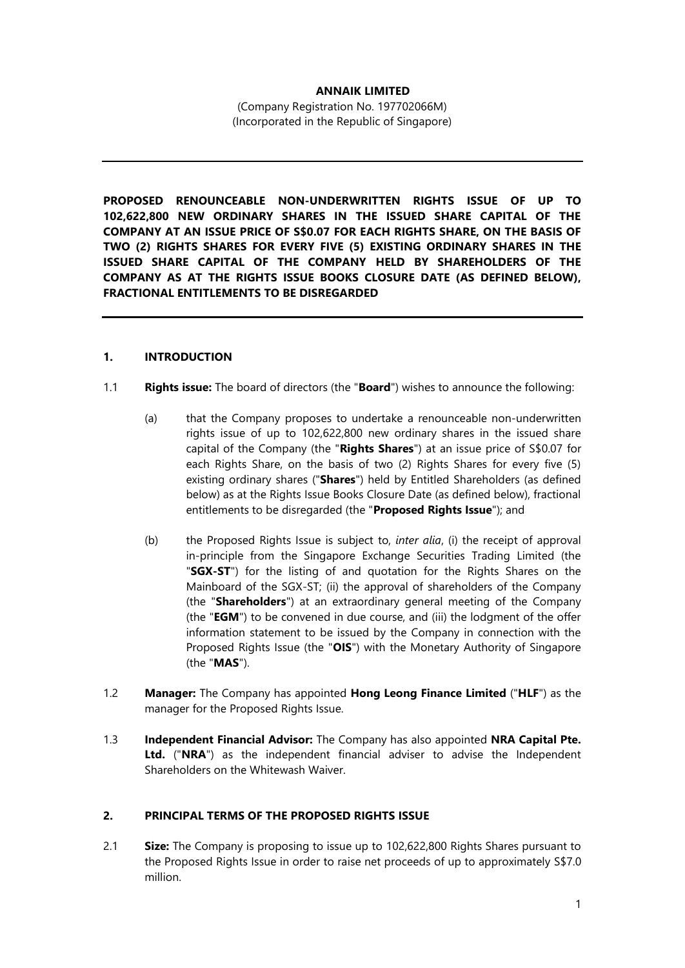## **ANNAIK LIMITED**

(Company Registration No. 197702066M) (Incorporated in the Republic of Singapore)

**PROPOSED RENOUNCEABLE NON-UNDERWRITTEN RIGHTS ISSUE OF UP TO 102,622,800 NEW ORDINARY SHARES IN THE ISSUED SHARE CAPITAL OF THE COMPANY AT AN ISSUE PRICE OF S\$0.07 FOR EACH RIGHTS SHARE, ON THE BASIS OF TWO (2) RIGHTS SHARES FOR EVERY FIVE (5) EXISTING ORDINARY SHARES IN THE ISSUED SHARE CAPITAL OF THE COMPANY HELD BY SHAREHOLDERS OF THE COMPANY AS AT THE RIGHTS ISSUE BOOKS CLOSURE DATE (AS DEFINED BELOW), FRACTIONAL ENTITLEMENTS TO BE DISREGARDED**

## **1. INTRODUCTION**

- 1.1 **Rights issue:** The board of directors (the "**Board**") wishes to announce the following:
	- (a) that the Company proposes to undertake a renounceable non-underwritten rights issue of up to 102,622,800 new ordinary shares in the issued share capital of the Company (the "**Rights Shares**") at an issue price of S\$0.07 for each Rights Share, on the basis of two (2) Rights Shares for every five (5) existing ordinary shares ("**Shares**") held by Entitled Shareholders (as defined below) as at the Rights Issue Books Closure Date (as defined below), fractional entitlements to be disregarded (the "**Proposed Rights Issue**"); and
	- (b) the Proposed Rights Issue is subject to, *inter alia*, (i) the receipt of approval in-principle from the Singapore Exchange Securities Trading Limited (the "**SGX-ST**") for the listing of and quotation for the Rights Shares on the Mainboard of the SGX-ST; (ii) the approval of shareholders of the Company (the "**Shareholders**") at an extraordinary general meeting of the Company (the "**EGM**") to be convened in due course, and (iii) the lodgment of the offer information statement to be issued by the Company in connection with the Proposed Rights Issue (the "**OIS**") with the Monetary Authority of Singapore (the "**MAS**").
- 1.2 **Manager:** The Company has appointed **Hong Leong Finance Limited** ("**HLF**") as the manager for the Proposed Rights Issue.
- 1.3 **Independent Financial Advisor:** The Company has also appointed **NRA Capital Pte. Ltd.** ("**NRA**") as the independent financial adviser to advise the Independent Shareholders on the Whitewash Waiver.

#### **2. PRINCIPAL TERMS OF THE PROPOSED RIGHTS ISSUE**

2.1 **Size:** The Company is proposing to issue up to 102,622,800 Rights Shares pursuant to the Proposed Rights Issue in order to raise net proceeds of up to approximately S\$7.0 million.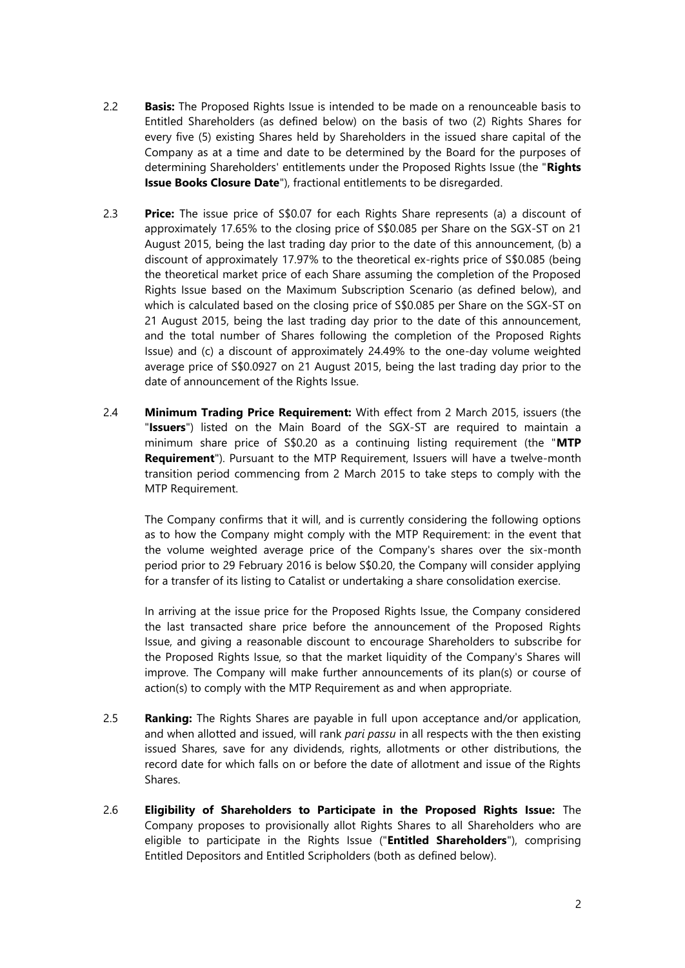- 2.2 **Basis:** The Proposed Rights Issue is intended to be made on a renounceable basis to Entitled Shareholders (as defined below) on the basis of two (2) Rights Shares for every five (5) existing Shares held by Shareholders in the issued share capital of the Company as at a time and date to be determined by the Board for the purposes of determining Shareholders' entitlements under the Proposed Rights Issue (the "**Rights Issue Books Closure Date**"), fractional entitlements to be disregarded.
- 2.3 **Price:** The issue price of S\$0.07 for each Rights Share represents (a) a discount of approximately 17.65% to the closing price of S\$0.085 per Share on the SGX-ST on 21 August 2015, being the last trading day prior to the date of this announcement, (b) a discount of approximately 17.97% to the theoretical ex-rights price of S\$0.085 (being the theoretical market price of each Share assuming the completion of the Proposed Rights Issue based on the Maximum Subscription Scenario (as defined below), and which is calculated based on the closing price of S\$0.085 per Share on the SGX-ST on 21 August 2015, being the last trading day prior to the date of this announcement, and the total number of Shares following the completion of the Proposed Rights Issue) and (c) a discount of approximately 24.49% to the one-day volume weighted average price of S\$0.0927 on 21 August 2015, being the last trading day prior to the date of announcement of the Rights Issue.
- 2.4 **Minimum Trading Price Requirement:** With effect from 2 March 2015, issuers (the "**Issuers**") listed on the Main Board of the SGX-ST are required to maintain a minimum share price of S\$0.20 as a continuing listing requirement (the "**MTP Requirement**"). Pursuant to the MTP Requirement, Issuers will have a twelve-month transition period commencing from 2 March 2015 to take steps to comply with the MTP Requirement.

The Company confirms that it will, and is currently considering the following options as to how the Company might comply with the MTP Requirement: in the event that the volume weighted average price of the Company's shares over the six-month period prior to 29 February 2016 is below S\$0.20, the Company will consider applying for a transfer of its listing to Catalist or undertaking a share consolidation exercise.

In arriving at the issue price for the Proposed Rights Issue, the Company considered the last transacted share price before the announcement of the Proposed Rights Issue, and giving a reasonable discount to encourage Shareholders to subscribe for the Proposed Rights Issue, so that the market liquidity of the Company's Shares will improve. The Company will make further announcements of its plan(s) or course of action(s) to comply with the MTP Requirement as and when appropriate.

- 2.5 **Ranking:** The Rights Shares are payable in full upon acceptance and/or application, and when allotted and issued, will rank *pari passu* in all respects with the then existing issued Shares, save for any dividends, rights, allotments or other distributions, the record date for which falls on or before the date of allotment and issue of the Rights Shares.
- 2.6 **Eligibility of Shareholders to Participate in the Proposed Rights Issue:** The Company proposes to provisionally allot Rights Shares to all Shareholders who are eligible to participate in the Rights Issue ("**Entitled Shareholders**"), comprising Entitled Depositors and Entitled Scripholders (both as defined below).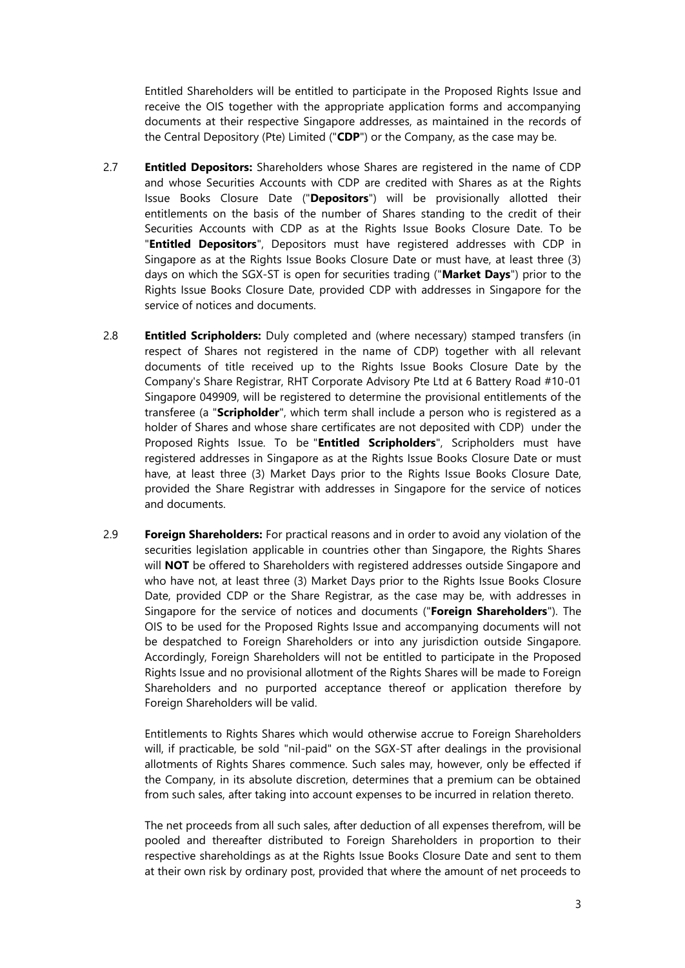Entitled Shareholders will be entitled to participate in the Proposed Rights Issue and receive the OIS together with the appropriate application forms and accompanying documents at their respective Singapore addresses, as maintained in the records of the Central Depository (Pte) Limited ("**CDP**") or the Company, as the case may be.

- 2.7 **Entitled Depositors:** Shareholders whose Shares are registered in the name of CDP and whose Securities Accounts with CDP are credited with Shares as at the Rights Issue Books Closure Date ("**Depositors**") will be provisionally allotted their entitlements on the basis of the number of Shares standing to the credit of their Securities Accounts with CDP as at the Rights Issue Books Closure Date. To be "**Entitled Depositors**", Depositors must have registered addresses with CDP in Singapore as at the Rights Issue Books Closure Date or must have, at least three (3) days on which the SGX-ST is open for securities trading ("**Market Days**") prior to the Rights Issue Books Closure Date, provided CDP with addresses in Singapore for the service of notices and documents.
- 2.8 **Entitled Scripholders:** Duly completed and (where necessary) stamped transfers (in respect of Shares not registered in the name of CDP) together with all relevant documents of title received up to the Rights Issue Books Closure Date by the Company's Share Registrar, RHT Corporate Advisory Pte Ltd at 6 Battery Road #10-01 Singapore 049909, will be registered to determine the provisional entitlements of the transferee (a "**Scripholder**", which term shall include a person who is registered as a holder of Shares and whose share certificates are not deposited with CDP) under the Proposed Rights Issue. To be "**Entitled Scripholders**", Scripholders must have registered addresses in Singapore as at the Rights Issue Books Closure Date or must have, at least three (3) Market Days prior to the Rights Issue Books Closure Date, provided the Share Registrar with addresses in Singapore for the service of notices and documents.
- 2.9 **Foreign Shareholders:** For practical reasons and in order to avoid any violation of the securities legislation applicable in countries other than Singapore, the Rights Shares will **NOT** be offered to Shareholders with registered addresses outside Singapore and who have not, at least three (3) Market Days prior to the Rights Issue Books Closure Date, provided CDP or the Share Registrar, as the case may be, with addresses in Singapore for the service of notices and documents ("**Foreign Shareholders**"). The OIS to be used for the Proposed Rights Issue and accompanying documents will not be despatched to Foreign Shareholders or into any jurisdiction outside Singapore. Accordingly, Foreign Shareholders will not be entitled to participate in the Proposed Rights Issue and no provisional allotment of the Rights Shares will be made to Foreign Shareholders and no purported acceptance thereof or application therefore by Foreign Shareholders will be valid.

Entitlements to Rights Shares which would otherwise accrue to Foreign Shareholders will, if practicable, be sold "nil-paid" on the SGX-ST after dealings in the provisional allotments of Rights Shares commence. Such sales may, however, only be effected if the Company, in its absolute discretion, determines that a premium can be obtained from such sales, after taking into account expenses to be incurred in relation thereto.

The net proceeds from all such sales, after deduction of all expenses therefrom, will be pooled and thereafter distributed to Foreign Shareholders in proportion to their respective shareholdings as at the Rights Issue Books Closure Date and sent to them at their own risk by ordinary post, provided that where the amount of net proceeds to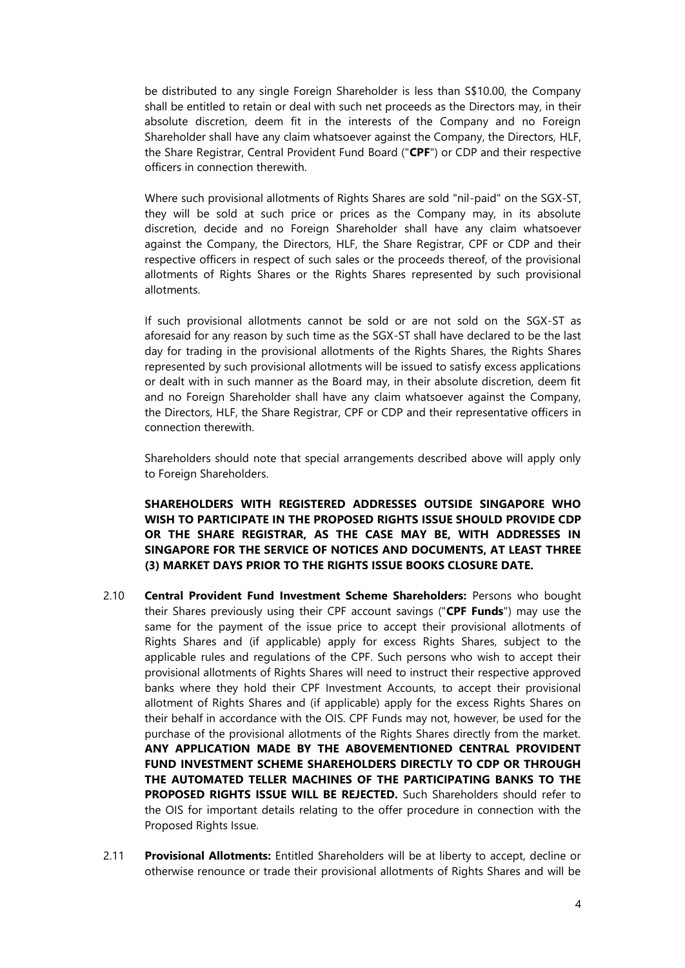be distributed to any single Foreign Shareholder is less than S\$10.00, the Company shall be entitled to retain or deal with such net proceeds as the Directors may, in their absolute discretion, deem fit in the interests of the Company and no Foreign Shareholder shall have any claim whatsoever against the Company, the Directors, HLF, the Share Registrar, Central Provident Fund Board ("**CPF**") or CDP and their respective officers in connection therewith.

Where such provisional allotments of Rights Shares are sold "nil-paid" on the SGX-ST, they will be sold at such price or prices as the Company may, in its absolute discretion, decide and no Foreign Shareholder shall have any claim whatsoever against the Company, the Directors, HLF, the Share Registrar, CPF or CDP and their respective officers in respect of such sales or the proceeds thereof, of the provisional allotments of Rights Shares or the Rights Shares represented by such provisional allotments.

If such provisional allotments cannot be sold or are not sold on the SGX-ST as aforesaid for any reason by such time as the SGX-ST shall have declared to be the last day for trading in the provisional allotments of the Rights Shares, the Rights Shares represented by such provisional allotments will be issued to satisfy excess applications or dealt with in such manner as the Board may, in their absolute discretion, deem fit and no Foreign Shareholder shall have any claim whatsoever against the Company, the Directors, HLF, the Share Registrar, CPF or CDP and their representative officers in connection therewith.

Shareholders should note that special arrangements described above will apply only to Foreign Shareholders.

**SHAREHOLDERS WITH REGISTERED ADDRESSES OUTSIDE SINGAPORE WHO WISH TO PARTICIPATE IN THE PROPOSED RIGHTS ISSUE SHOULD PROVIDE CDP OR THE SHARE REGISTRAR, AS THE CASE MAY BE, WITH ADDRESSES IN SINGAPORE FOR THE SERVICE OF NOTICES AND DOCUMENTS, AT LEAST THREE (3) MARKET DAYS PRIOR TO THE RIGHTS ISSUE BOOKS CLOSURE DATE.**

- 2.10 **Central Provident Fund Investment Scheme Shareholders:** Persons who bought their Shares previously using their CPF account savings ("**CPF Funds**") may use the same for the payment of the issue price to accept their provisional allotments of Rights Shares and (if applicable) apply for excess Rights Shares, subject to the applicable rules and regulations of the CPF. Such persons who wish to accept their provisional allotments of Rights Shares will need to instruct their respective approved banks where they hold their CPF Investment Accounts, to accept their provisional allotment of Rights Shares and (if applicable) apply for the excess Rights Shares on their behalf in accordance with the OIS. CPF Funds may not, however, be used for the purchase of the provisional allotments of the Rights Shares directly from the market. **ANY APPLICATION MADE BY THE ABOVEMENTIONED CENTRAL PROVIDENT FUND INVESTMENT SCHEME SHAREHOLDERS DIRECTLY TO CDP OR THROUGH THE AUTOMATED TELLER MACHINES OF THE PARTICIPATING BANKS TO THE PROPOSED RIGHTS ISSUE WILL BE REJECTED.** Such Shareholders should refer to the OIS for important details relating to the offer procedure in connection with the Proposed Rights Issue.
- 2.11 **Provisional Allotments:** Entitled Shareholders will be at liberty to accept, decline or otherwise renounce or trade their provisional allotments of Rights Shares and will be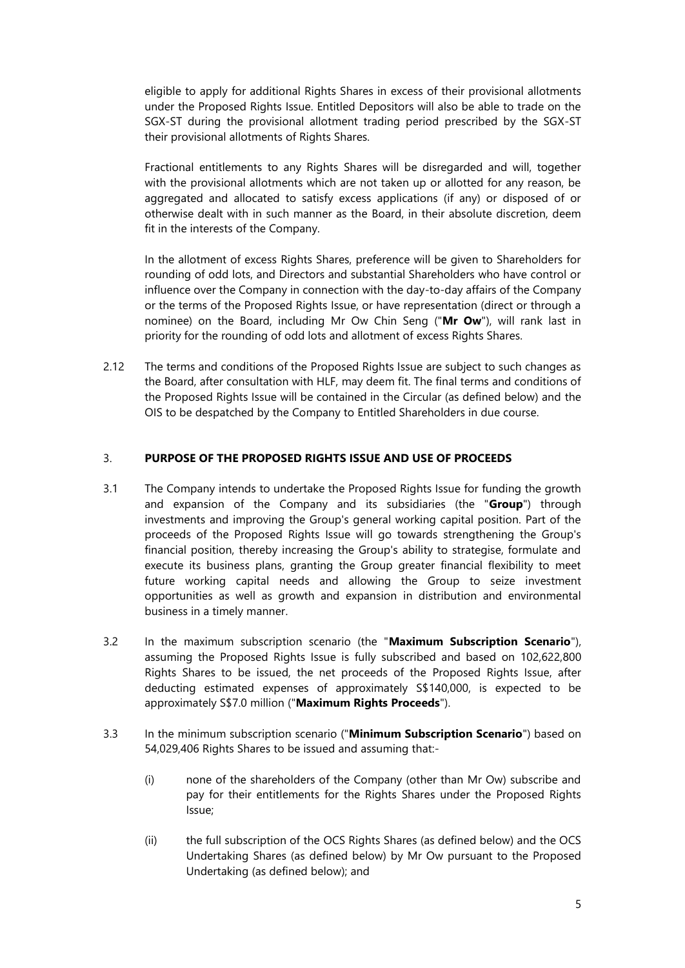eligible to apply for additional Rights Shares in excess of their provisional allotments under the Proposed Rights Issue. Entitled Depositors will also be able to trade on the SGX-ST during the provisional allotment trading period prescribed by the SGX-ST their provisional allotments of Rights Shares.

Fractional entitlements to any Rights Shares will be disregarded and will, together with the provisional allotments which are not taken up or allotted for any reason, be aggregated and allocated to satisfy excess applications (if any) or disposed of or otherwise dealt with in such manner as the Board, in their absolute discretion, deem fit in the interests of the Company.

In the allotment of excess Rights Shares, preference will be given to Shareholders for rounding of odd lots, and Directors and substantial Shareholders who have control or influence over the Company in connection with the day-to-day affairs of the Company or the terms of the Proposed Rights Issue, or have representation (direct or through a nominee) on the Board, including Mr Ow Chin Seng ("**Mr Ow**"), will rank last in priority for the rounding of odd lots and allotment of excess Rights Shares.

2.12 The terms and conditions of the Proposed Rights Issue are subject to such changes as the Board, after consultation with HLF, may deem fit. The final terms and conditions of the Proposed Rights Issue will be contained in the Circular (as defined below) and the OIS to be despatched by the Company to Entitled Shareholders in due course.

#### 3. **PURPOSE OF THE PROPOSED RIGHTS ISSUE AND USE OF PROCEEDS**

- 3.1 The Company intends to undertake the Proposed Rights Issue for funding the growth and expansion of the Company and its subsidiaries (the "**Group**") through investments and improving the Group's general working capital position. Part of the proceeds of the Proposed Rights Issue will go towards strengthening the Group's financial position, thereby increasing the Group's ability to strategise, formulate and execute its business plans, granting the Group greater financial flexibility to meet future working capital needs and allowing the Group to seize investment opportunities as well as growth and expansion in distribution and environmental business in a timely manner.
- 3.2 In the maximum subscription scenario (the "**Maximum Subscription Scenario**"), assuming the Proposed Rights Issue is fully subscribed and based on 102,622,800 Rights Shares to be issued, the net proceeds of the Proposed Rights Issue, after deducting estimated expenses of approximately S\$140,000, is expected to be approximately S\$7.0 million ("**Maximum Rights Proceeds**").
- 3.3 In the minimum subscription scenario ("**Minimum Subscription Scenario**") based on 54,029,406 Rights Shares to be issued and assuming that:-
	- (i) none of the shareholders of the Company (other than Mr Ow) subscribe and pay for their entitlements for the Rights Shares under the Proposed Rights Issue;
	- (ii) the full subscription of the OCS Rights Shares (as defined below) and the OCS Undertaking Shares (as defined below) by Mr Ow pursuant to the Proposed Undertaking (as defined below); and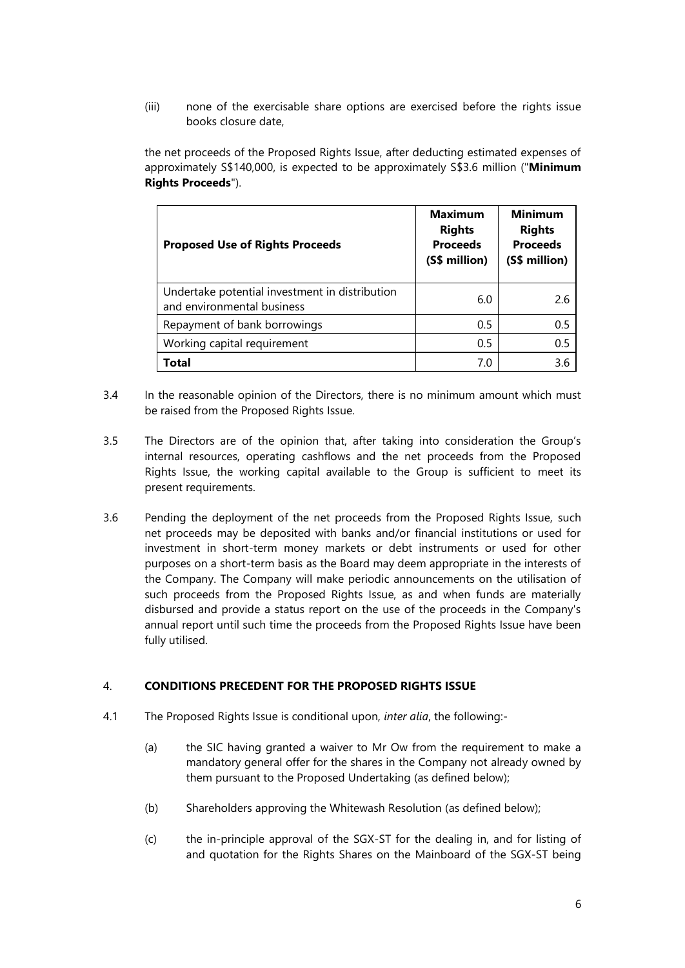(iii) none of the exercisable share options are exercised before the rights issue books closure date,

the net proceeds of the Proposed Rights Issue, after deducting estimated expenses of approximately S\$140,000, is expected to be approximately S\$3.6 million ("**Minimum Rights Proceeds**").

| <b>Proposed Use of Rights Proceeds</b>                                       | <b>Maximum</b><br><b>Rights</b><br><b>Proceeds</b><br>(S\$ million) | <b>Minimum</b><br><b>Rights</b><br><b>Proceeds</b><br>(S\$ million) |
|------------------------------------------------------------------------------|---------------------------------------------------------------------|---------------------------------------------------------------------|
| Undertake potential investment in distribution<br>and environmental business | 6.0                                                                 | 2.6                                                                 |
| Repayment of bank borrowings                                                 | 0.5                                                                 | 0.5                                                                 |
| Working capital requirement                                                  | 0.5                                                                 | 0.5                                                                 |
| Total                                                                        | 7.0                                                                 | 3.6                                                                 |

- 3.4 In the reasonable opinion of the Directors, there is no minimum amount which must be raised from the Proposed Rights Issue.
- 3.5 The Directors are of the opinion that, after taking into consideration the Group's internal resources, operating cashflows and the net proceeds from the Proposed Rights Issue, the working capital available to the Group is sufficient to meet its present requirements.
- 3.6 Pending the deployment of the net proceeds from the Proposed Rights Issue, such net proceeds may be deposited with banks and/or financial institutions or used for investment in short-term money markets or debt instruments or used for other purposes on a short-term basis as the Board may deem appropriate in the interests of the Company. The Company will make periodic announcements on the utilisation of such proceeds from the Proposed Rights Issue, as and when funds are materially disbursed and provide a status report on the use of the proceeds in the Company's annual report until such time the proceeds from the Proposed Rights Issue have been fully utilised.

## 4. **CONDITIONS PRECEDENT FOR THE PROPOSED RIGHTS ISSUE**

- 4.1 The Proposed Rights Issue is conditional upon, *inter alia*, the following:-
	- (a) the SIC having granted a waiver to Mr Ow from the requirement to make a mandatory general offer for the shares in the Company not already owned by them pursuant to the Proposed Undertaking (as defined below);
	- (b) Shareholders approving the Whitewash Resolution (as defined below);
	- (c) the in-principle approval of the SGX-ST for the dealing in, and for listing of and quotation for the Rights Shares on the Mainboard of the SGX-ST being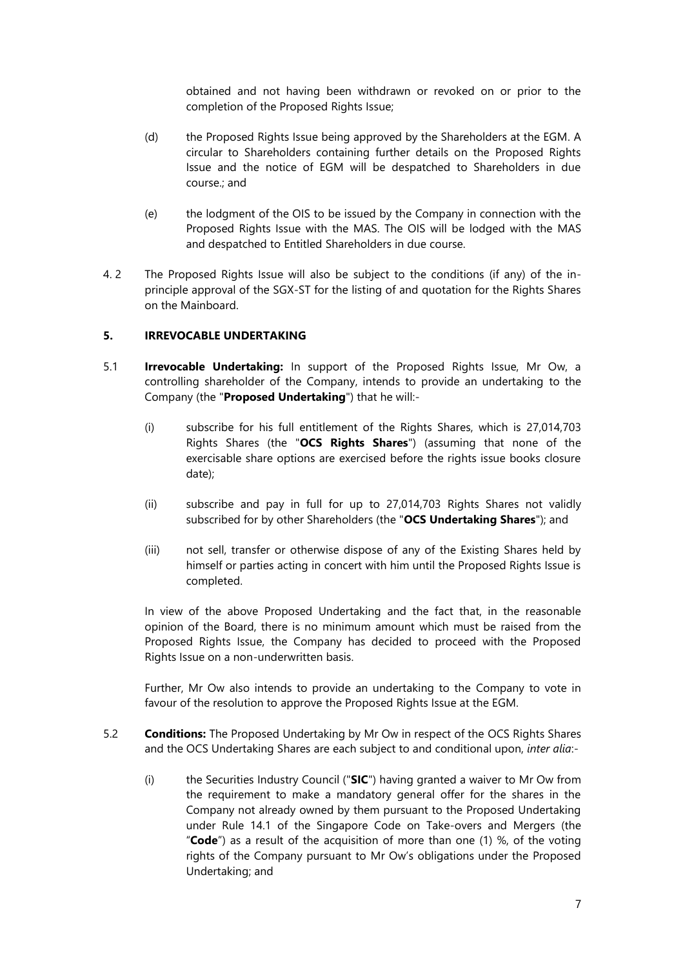obtained and not having been withdrawn or revoked on or prior to the completion of the Proposed Rights Issue;

- (d) the Proposed Rights Issue being approved by the Shareholders at the EGM. A circular to Shareholders containing further details on the Proposed Rights Issue and the notice of EGM will be despatched to Shareholders in due course.; and
- (e) the lodgment of the OIS to be issued by the Company in connection with the Proposed Rights Issue with the MAS. The OIS will be lodged with the MAS and despatched to Entitled Shareholders in due course.
- 4. 2 The Proposed Rights Issue will also be subject to the conditions (if any) of the inprinciple approval of the SGX-ST for the listing of and quotation for the Rights Shares on the Mainboard.

## **5. IRREVOCABLE UNDERTAKING**

- 5.1 **Irrevocable Undertaking:** In support of the Proposed Rights Issue, Mr Ow, a controlling shareholder of the Company, intends to provide an undertaking to the Company (the "**Proposed Undertaking**") that he will:-
	- (i) subscribe for his full entitlement of the Rights Shares, which is 27,014,703 Rights Shares (the "**OCS Rights Shares**") (assuming that none of the exercisable share options are exercised before the rights issue books closure date);
	- (ii) subscribe and pay in full for up to 27,014,703 Rights Shares not validly subscribed for by other Shareholders (the "**OCS Undertaking Shares**"); and
	- (iii) not sell, transfer or otherwise dispose of any of the Existing Shares held by himself or parties acting in concert with him until the Proposed Rights Issue is completed.

In view of the above Proposed Undertaking and the fact that, in the reasonable opinion of the Board, there is no minimum amount which must be raised from the Proposed Rights Issue, the Company has decided to proceed with the Proposed Rights Issue on a non-underwritten basis.

Further, Mr Ow also intends to provide an undertaking to the Company to vote in favour of the resolution to approve the Proposed Rights Issue at the EGM.

- 5.2 **Conditions:** The Proposed Undertaking by Mr Ow in respect of the OCS Rights Shares and the OCS Undertaking Shares are each subject to and conditional upon, *inter alia*:-
	- (i) the Securities Industry Council ("**SIC**") having granted a waiver to Mr Ow from the requirement to make a mandatory general offer for the shares in the Company not already owned by them pursuant to the Proposed Undertaking under Rule 14.1 of the Singapore Code on Take-overs and Mergers (the "**Code**") as a result of the acquisition of more than one (1) %, of the voting rights of the Company pursuant to Mr Ow's obligations under the Proposed Undertaking; and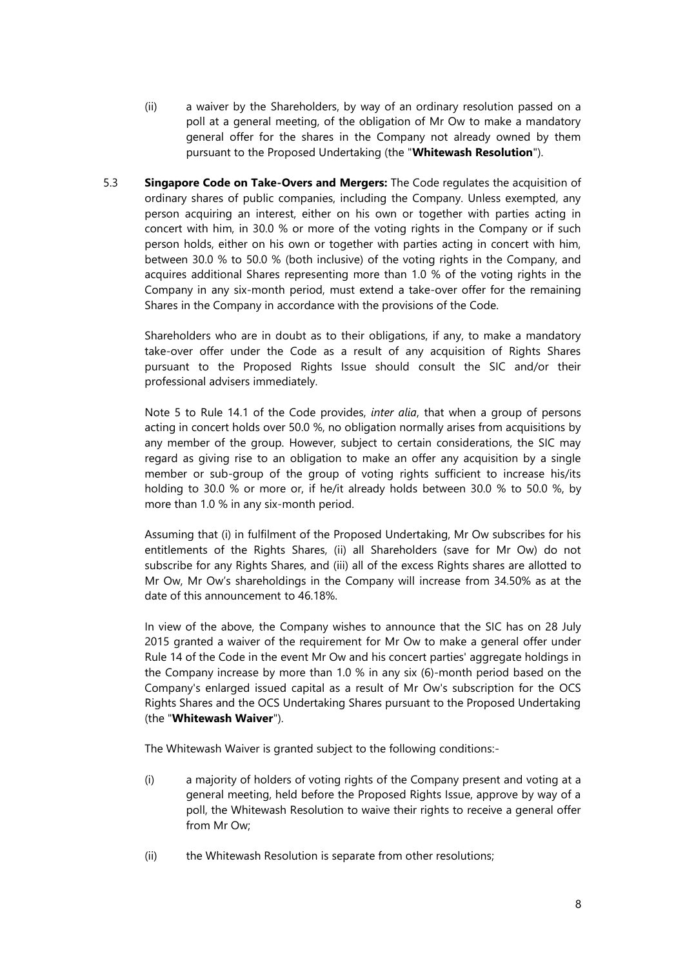- (ii) a waiver by the Shareholders, by way of an ordinary resolution passed on a poll at a general meeting, of the obligation of Mr Ow to make a mandatory general offer for the shares in the Company not already owned by them pursuant to the Proposed Undertaking (the "**Whitewash Resolution**").
- 5.3 **Singapore Code on Take-Overs and Mergers:** The Code regulates the acquisition of ordinary shares of public companies, including the Company. Unless exempted, any person acquiring an interest, either on his own or together with parties acting in concert with him, in 30.0 % or more of the voting rights in the Company or if such person holds, either on his own or together with parties acting in concert with him, between 30.0 % to 50.0 % (both inclusive) of the voting rights in the Company, and acquires additional Shares representing more than 1.0 % of the voting rights in the Company in any six-month period, must extend a take-over offer for the remaining Shares in the Company in accordance with the provisions of the Code.

Shareholders who are in doubt as to their obligations, if any, to make a mandatory take-over offer under the Code as a result of any acquisition of Rights Shares pursuant to the Proposed Rights Issue should consult the SIC and/or their professional advisers immediately.

Note 5 to Rule 14.1 of the Code provides, *inter alia*, that when a group of persons acting in concert holds over 50.0 %, no obligation normally arises from acquisitions by any member of the group. However, subject to certain considerations, the SIC may regard as giving rise to an obligation to make an offer any acquisition by a single member or sub-group of the group of voting rights sufficient to increase his/its holding to 30.0 % or more or, if he/it already holds between 30.0 % to 50.0 %, by more than 1.0 % in any six-month period.

Assuming that (i) in fulfilment of the Proposed Undertaking, Mr Ow subscribes for his entitlements of the Rights Shares, (ii) all Shareholders (save for Mr Ow) do not subscribe for any Rights Shares, and (iii) all of the excess Rights shares are allotted to Mr Ow, Mr Ow's shareholdings in the Company will increase from 34.50% as at the date of this announcement to 46.18%.

In view of the above, the Company wishes to announce that the SIC has on 28 July 2015 granted a waiver of the requirement for Mr Ow to make a general offer under Rule 14 of the Code in the event Mr Ow and his concert parties' aggregate holdings in the Company increase by more than 1.0 % in any six (6)-month period based on the Company's enlarged issued capital as a result of Mr Ow's subscription for the OCS Rights Shares and the OCS Undertaking Shares pursuant to the Proposed Undertaking (the "**Whitewash Waiver**").

The Whitewash Waiver is granted subject to the following conditions:-

- (i) a majority of holders of voting rights of the Company present and voting at a general meeting, held before the Proposed Rights Issue, approve by way of a poll, the Whitewash Resolution to waive their rights to receive a general offer from Mr Ow;
- (ii) the Whitewash Resolution is separate from other resolutions;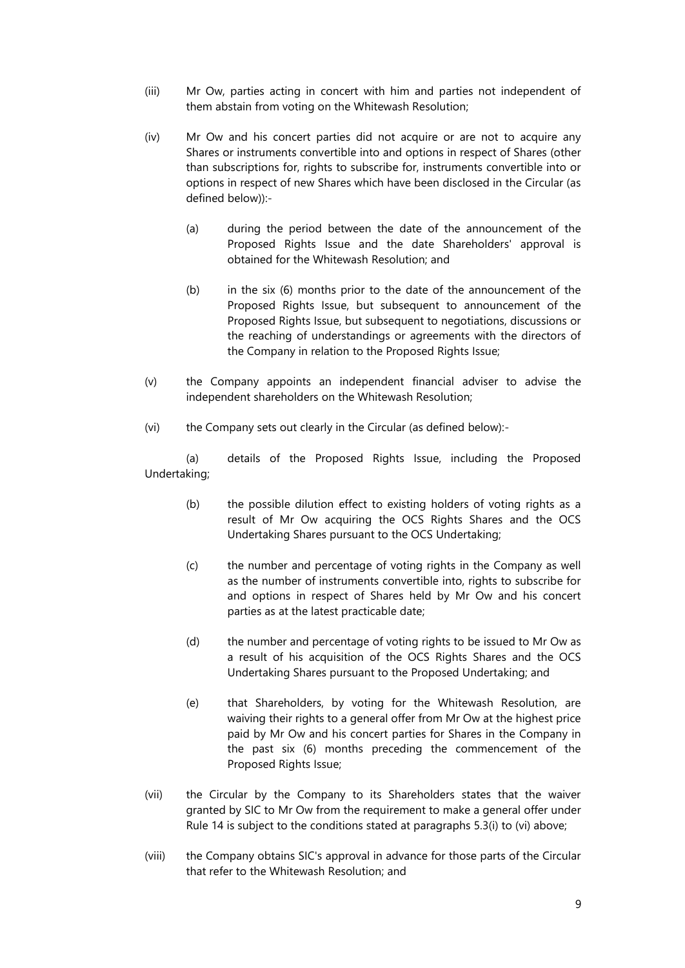- (iii) Mr Ow, parties acting in concert with him and parties not independent of them abstain from voting on the Whitewash Resolution;
- (iv) Mr Ow and his concert parties did not acquire or are not to acquire any Shares or instruments convertible into and options in respect of Shares (other than subscriptions for, rights to subscribe for, instruments convertible into or options in respect of new Shares which have been disclosed in the Circular (as defined below)):-
	- (a) during the period between the date of the announcement of the Proposed Rights Issue and the date Shareholders' approval is obtained for the Whitewash Resolution; and
	- $(b)$  in the six  $(6)$  months prior to the date of the announcement of the Proposed Rights Issue, but subsequent to announcement of the Proposed Rights Issue, but subsequent to negotiations, discussions or the reaching of understandings or agreements with the directors of the Company in relation to the Proposed Rights Issue;
- (v) the Company appoints an independent financial adviser to advise the independent shareholders on the Whitewash Resolution;
- (vi) the Company sets out clearly in the Circular (as defined below):-

(a) details of the Proposed Rights Issue, including the Proposed Undertaking;

- (b) the possible dilution effect to existing holders of voting rights as a result of Mr Ow acquiring the OCS Rights Shares and the OCS Undertaking Shares pursuant to the OCS Undertaking;
- (c) the number and percentage of voting rights in the Company as well as the number of instruments convertible into, rights to subscribe for and options in respect of Shares held by Mr Ow and his concert parties as at the latest practicable date;
- (d) the number and percentage of voting rights to be issued to Mr Ow as a result of his acquisition of the OCS Rights Shares and the OCS Undertaking Shares pursuant to the Proposed Undertaking; and
- (e) that Shareholders, by voting for the Whitewash Resolution, are waiving their rights to a general offer from Mr Ow at the highest price paid by Mr Ow and his concert parties for Shares in the Company in the past six (6) months preceding the commencement of the Proposed Rights Issue;
- (vii) the Circular by the Company to its Shareholders states that the waiver granted by SIC to Mr Ow from the requirement to make a general offer under Rule 14 is subject to the conditions stated at paragraphs 5.3(i) to (vi) above;
- (viii) the Company obtains SIC's approval in advance for those parts of the Circular that refer to the Whitewash Resolution; and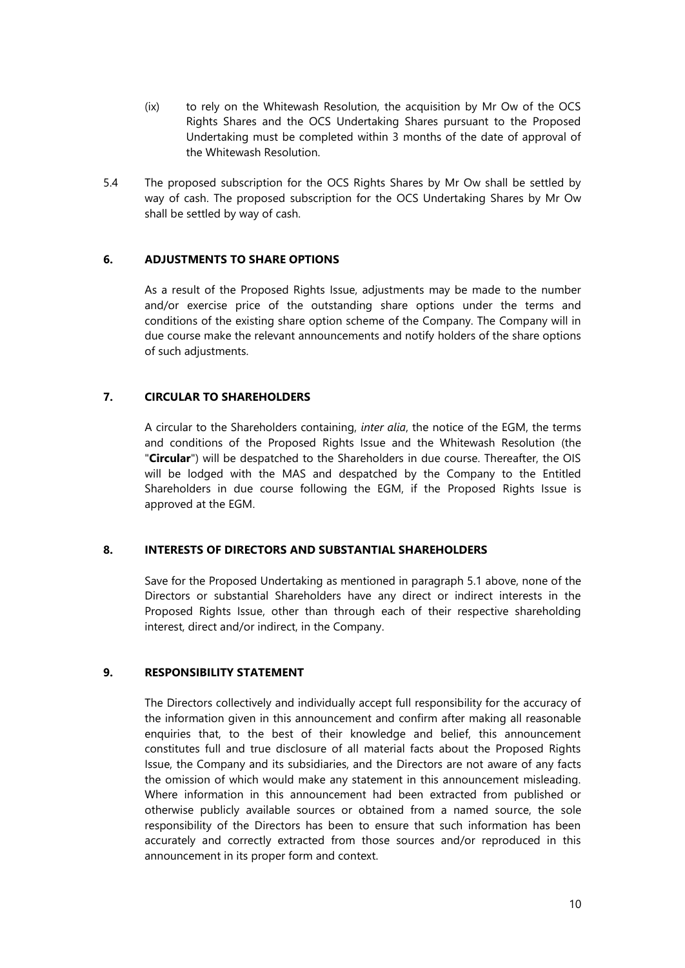- (ix) to rely on the Whitewash Resolution, the acquisition by Mr Ow of the OCS Rights Shares and the OCS Undertaking Shares pursuant to the Proposed Undertaking must be completed within 3 months of the date of approval of the Whitewash Resolution.
- 5.4 The proposed subscription for the OCS Rights Shares by Mr Ow shall be settled by way of cash. The proposed subscription for the OCS Undertaking Shares by Mr Ow shall be settled by way of cash.

## **6. ADJUSTMENTS TO SHARE OPTIONS**

As a result of the Proposed Rights Issue, adjustments may be made to the number and/or exercise price of the outstanding share options under the terms and conditions of the existing share option scheme of the Company. The Company will in due course make the relevant announcements and notify holders of the share options of such adjustments.

## **7. CIRCULAR TO SHAREHOLDERS**

A circular to the Shareholders containing, *inter alia*, the notice of the EGM, the terms and conditions of the Proposed Rights Issue and the Whitewash Resolution (the "**Circular**") will be despatched to the Shareholders in due course. Thereafter, the OIS will be lodged with the MAS and despatched by the Company to the Entitled Shareholders in due course following the EGM, if the Proposed Rights Issue is approved at the EGM.

#### **8. INTERESTS OF DIRECTORS AND SUBSTANTIAL SHAREHOLDERS**

Save for the Proposed Undertaking as mentioned in paragraph 5.1 above, none of the Directors or substantial Shareholders have any direct or indirect interests in the Proposed Rights Issue, other than through each of their respective shareholding interest, direct and/or indirect, in the Company.

## **9. RESPONSIBILITY STATEMENT**

The Directors collectively and individually accept full responsibility for the accuracy of the information given in this announcement and confirm after making all reasonable enquiries that, to the best of their knowledge and belief, this announcement constitutes full and true disclosure of all material facts about the Proposed Rights Issue, the Company and its subsidiaries, and the Directors are not aware of any facts the omission of which would make any statement in this announcement misleading. Where information in this announcement had been extracted from published or otherwise publicly available sources or obtained from a named source, the sole responsibility of the Directors has been to ensure that such information has been accurately and correctly extracted from those sources and/or reproduced in this announcement in its proper form and context.